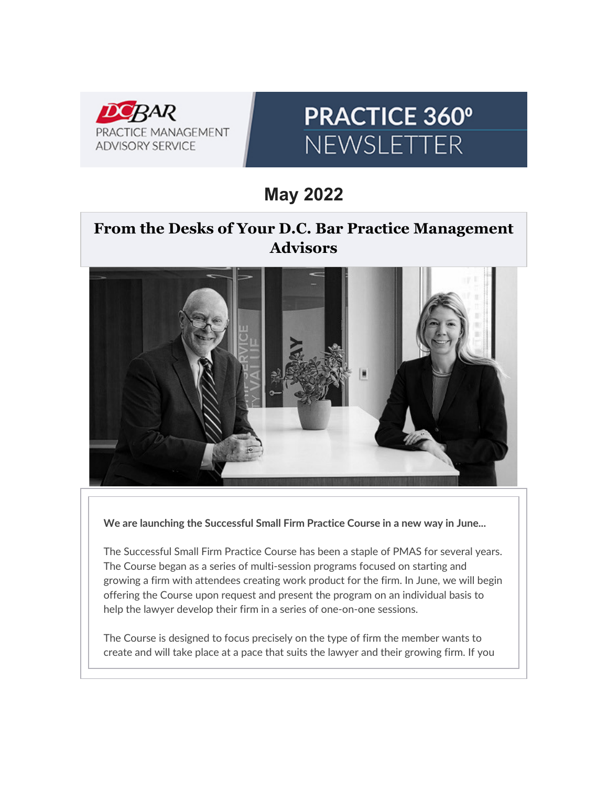

# **PRACTICE 360°** NEWSLETTER

**May 2022**

# **From the Desks of Your D.C. Bar Practice Management Advisors**



**We are launching the Successful Small Firm Practice Course in a new way in June...**

The Successful Small Firm Practice Course has been a staple of PMAS for several years. The Course began as a series of multi-session programs focused on starting and growing a firm with attendees creating work product for the firm. In June, we will begin offering the Course upon request and present the program on an individual basis to help the lawyer develop their firm in a series of one-on-one sessions.

The Course is designed to focus precisely on the type of firm the member wants to create and will take place at a pace that suits the lawyer and their growing firm. If you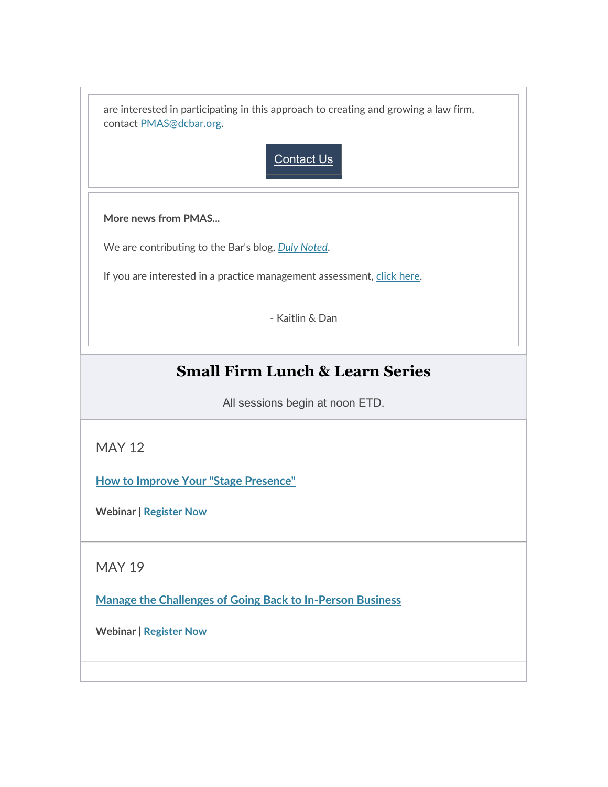| are interested in participating in this approach to creating and growing a law firm,<br>contact PMAS@dcbar.org. |
|-----------------------------------------------------------------------------------------------------------------|
| <b>Contact Us</b>                                                                                               |
| More news from PMAS                                                                                             |
| We are contributing to the Bar's blog, Duly Noted.                                                              |
| If you are interested in a practice management assessment, click here.                                          |
| - Kaitlin & Dan                                                                                                 |

# **Small Firm Lunch & Learn Series**

All sessions begin at noon ETD.

MAY 12

**[How to Improve Your "Stage Presence"](https://click.email.dcbar.org/?qs=73ad057934b220fd7e12cd454cc8506c0af6333e0f170fbdd4734223bfb327e45fe39284d0fa990e311519200925d63a0c7537526814bfb0)**

**Webinar [| Register Now](https://click.email.dcbar.org/?qs=73ad057934b220fdad63554081e7a0043d0d49c31e82aa4e20f35bfedd095d626b1e7104a2744b1dc2ab9c4955db9446d82cae303a4686f1)**

MAY 19

**[Manage the Challenges of Going Back to In-Person Business](https://click.email.dcbar.org/?qs=73ad057934b220fdafb90e12d07abe47292da57d80f99fc0252e3c5ee857e3e88efc732773eaa7bc1cfd9733b89d455903e29f8f40782eaf)**

**Webinar [| Register Now](https://click.email.dcbar.org/?qs=73ad057934b220fd46f7117a61e683400a82fa14d0b210decb3dc52350b78bd12a207648918276a878703aea82674d37a1162ee3c8011cef)**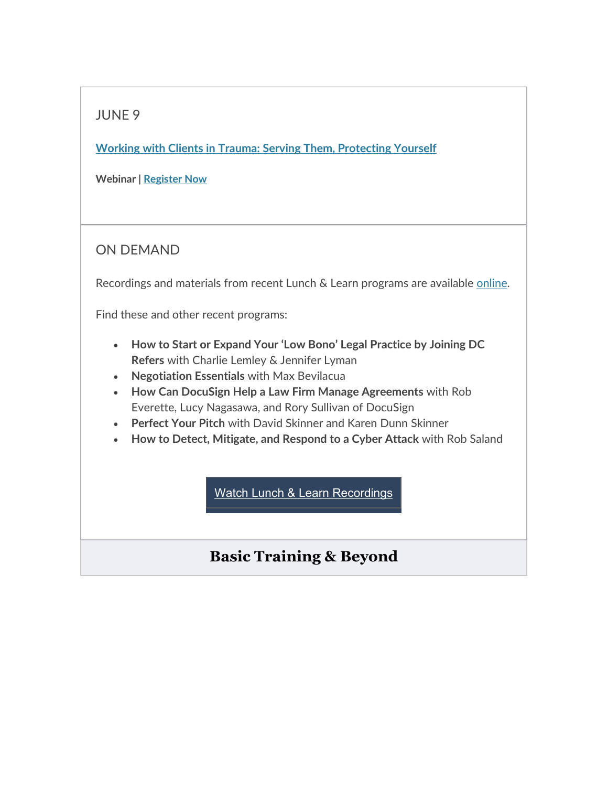## JUNE 9

**[Working with Clients in Trauma: Serving Them, Protecting Yourself](https://click.email.dcbar.org/?qs=73ad057934b220fd99fedc43b92e29464084213773e1285e2594d890000d8d5e03e109f7baffcb441807243577c98eaf8c2546a0bf10de9e)**

**Webinar [| Register Now](https://click.email.dcbar.org/?qs=73ad057934b220fd7e66a20e4bc1ca8d7118ee5b76dd4edf5aee83dde959ed67a4124aa9bbc59a38726cbba398b64dc6385b9f92437fa09c)**

### ON DEMAND

Recordings and materials from recent Lunch & Learn programs are available [online.](https://click.email.dcbar.org/?qs=73ad057934b220fd605648feef88af57eb6287933377362ba92d8e96b618e9f0c791bea150b3e32fca4a74a7347267ee072ec061ba4f6360)

Find these and other recent programs:

- **How to Start or Expand Your 'Low Bono' Legal Practice by Joining DC Refers** with Charlie Lemley & Jennifer Lyman
- **Negotiation Essentials** with Max Bevilacua
- **How Can DocuSign Help a Law Firm Manage Agreements** with Rob Everette, Lucy Nagasawa, and Rory Sullivan of DocuSign
- **Perfect Your Pitch** with David Skinner and Karen Dunn Skinner
- **How to Detect, Mitigate, and Respond to a Cyber Attack** with Rob Saland

Watch [Lunch & Learn](https://click.email.dcbar.org/?qs=73ad057934b220fddb5357db3356de0b1809ecfe6b26a491fa01c7d97f0214e03cc4591c24476944cbc2c8822e9b2364f85a018766a58f24) Recordings

# **Basic Training & Beyond**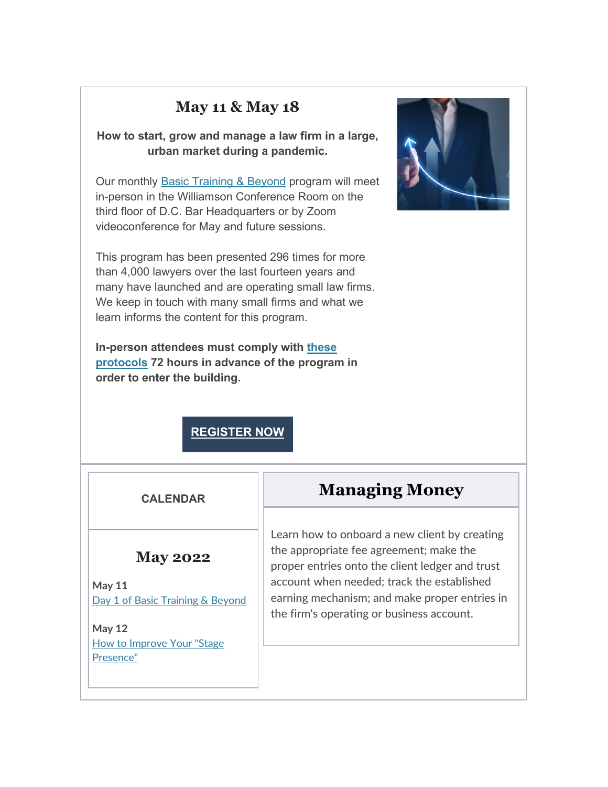# **May 11 & May 18**

**How to start, grow and manage a law firm in a large, urban market during a pandemic.**

Our monthly [Basic Training & Beyond](https://click.email.dcbar.org/?qs=73ad057934b220fd3fa006bd71c80acb095c29ec49e25821f5078fe1462e8b93badd05ab91b2834dd6369f4351c6c841632743e564f2de8e) program will meet in-person in the Williamson Conference Room on the third floor of D.C. Bar Headquarters or by Zoom videoconference for May and future sessions.

This program has been presented 296 times for more than 4,000 lawyers over the last fourteen years and many have launched and are operating small law firms. We keep in touch with many small firms and what we learn informs the content for this program.

**In-person attendees must comply with [these](https://click.email.dcbar.org/?qs=73ad057934b220fdf0e961defb5c4aa1590adeb668116b83ee9d8c71824f8e7f155e3c946eca9f6d2218d4a48d7ca8c7d2a50da3a9b9e1ad)  [protocols](https://click.email.dcbar.org/?qs=73ad057934b220fdf0e961defb5c4aa1590adeb668116b83ee9d8c71824f8e7f155e3c946eca9f6d2218d4a48d7ca8c7d2a50da3a9b9e1ad) 72 hours in advance of the program in order to enter the building.**



### **[REGISTER](https://click.email.dcbar.org/?qs=73ad057934b220fd14c185a0100500f49c03575489895b9e4a570418880abc6de3bc2eec01c15123575d1cf75cb4f6951c7f647673229e6e) NOW**

#### **CALENDAR**

#### **May 2022**

**May 11**  [Day 1 of Basic Training & Beyond](https://click.email.dcbar.org/?qs=73ad057934b220fd9d4422200e1f0698f06e1d629b1c49fa65a1e562ec40eb1d08b5b2e90a51852765c332cc2c7836962394ca3217e152b3)

**May 12**  [How to Improve Your "Stage](https://click.email.dcbar.org/?qs=73ad057934b220fd9fa63987ba24d829259c7b93a555a5ea66d47fe1b479d81ab01d7e9b9dd6d67890fd7a86b001bf43d7f884e46618e273)  [Presence"](https://click.email.dcbar.org/?qs=73ad057934b220fd9fa63987ba24d829259c7b93a555a5ea66d47fe1b479d81ab01d7e9b9dd6d67890fd7a86b001bf43d7f884e46618e273)

# **Managing Money**

Learn how to onboard a new client by creating the appropriate fee agreement; make the proper entries onto the client ledger and trust account when needed; track the established earning mechanism; and make proper entries in the firm's operating or business account.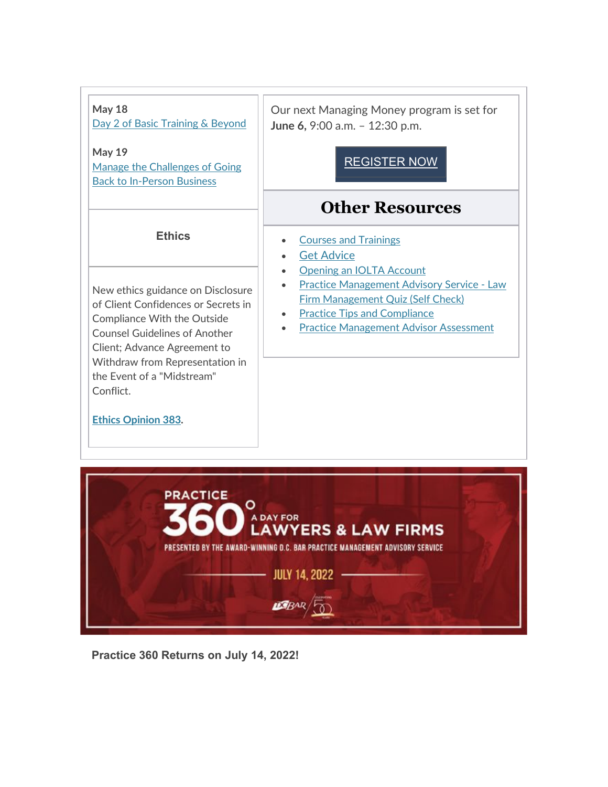#### **May 18**

[Day 2 of Basic Training & Beyond](https://click.email.dcbar.org/?qs=73ad057934b220fdecb6e364cccc39754d89c5a6d234bd2a80a296c5d339c3d54a35b01aec2e217bf96bb2ef86a91c479c239d0df86c69d3)

**May 19**  Manage [the Challenges of Going](https://click.email.dcbar.org/?qs=73ad057934b220fdafb90e12d07abe47292da57d80f99fc0252e3c5ee857e3e88efc732773eaa7bc1cfd9733b89d455903e29f8f40782eaf)  [Back to In-Person Business](https://click.email.dcbar.org/?qs=73ad057934b220fdafb90e12d07abe47292da57d80f99fc0252e3c5ee857e3e88efc732773eaa7bc1cfd9733b89d455903e29f8f40782eaf)

#### **Ethics**

New ethics guidance on Disclosure of Client Confidences or Secrets in Compliance With the Outside Counsel Guidelines of Another Client; Advance Agreement to Withdraw from Representation in the Event of a "Midstream" Conflict.

**[Ethics Opinion 383.](https://click.email.dcbar.org/?qs=73ad057934b220fd8d1a90ea06365812de30150bec2bcc47023a16b27813c5deb3c7b315e6270d66848e19abbd2cca767dbbb4c614a5ffe2)**

Our next Managing Money program is set for **June 6,** 9:00 a.m. – 12:30 p.m.

### [REGISTER](https://click.email.dcbar.org/?qs=73ad057934b220fde5b17261815b4bdb6211b8bee5d098e036df8dd6bc9a4475b69dfb71e5c1a8d87f9e323de28b5751dabb0eba0c712137) NOW

# **Other Resources**

- [Courses and Trainings](https://click.email.dcbar.org/?qs=73ad057934b220fd7ad5d17a9cf6cf38881fd874464bc10cafff082d79cd27ffba2a419dcc453245a8a17649d8c8087299592fe622479b71)
- [Get Advice](https://click.email.dcbar.org/?qs=73ad057934b220fd11013ad8e0d0fe2eecf40bf9eb71d396c5fee2bbc1461c254bcef8b2957ae61fbc11958d6e4d4ead95a0fb9a59805ba8)
- Opening an **IOLTA** Account
- [Practice Management Advisory Service Law](https://click.email.dcbar.org/?qs=73ad057934b220fdb7877cdaff4f28aac66b00188ad938b299ba45d3de124e93ba4cf28c303cc1a4e95e546caf4e5a2c04bc5d54f1e25e27)  [Firm Management Quiz \(Self Check\)](https://click.email.dcbar.org/?qs=73ad057934b220fdb7877cdaff4f28aac66b00188ad938b299ba45d3de124e93ba4cf28c303cc1a4e95e546caf4e5a2c04bc5d54f1e25e27)
- [Practice Tips and Compliance](https://click.email.dcbar.org/?qs=73ad057934b220fd05f32f088e824382c907db4a204fe56d28d13ddcdc60435cdcd9c353d4d49c74916543915c460f1b766514ad7bbeb503)
- [Practice Management Advisor Assessment](https://click.email.dcbar.org/?qs=73ad057934b220fd27321482fe5e2288dd7c8b3c9b15519f608a21a27550b6e784320d6d575b082d940df473ad2d24c2228bd3825b47a182)



**Practice 360 Returns on July 14, 2022!**